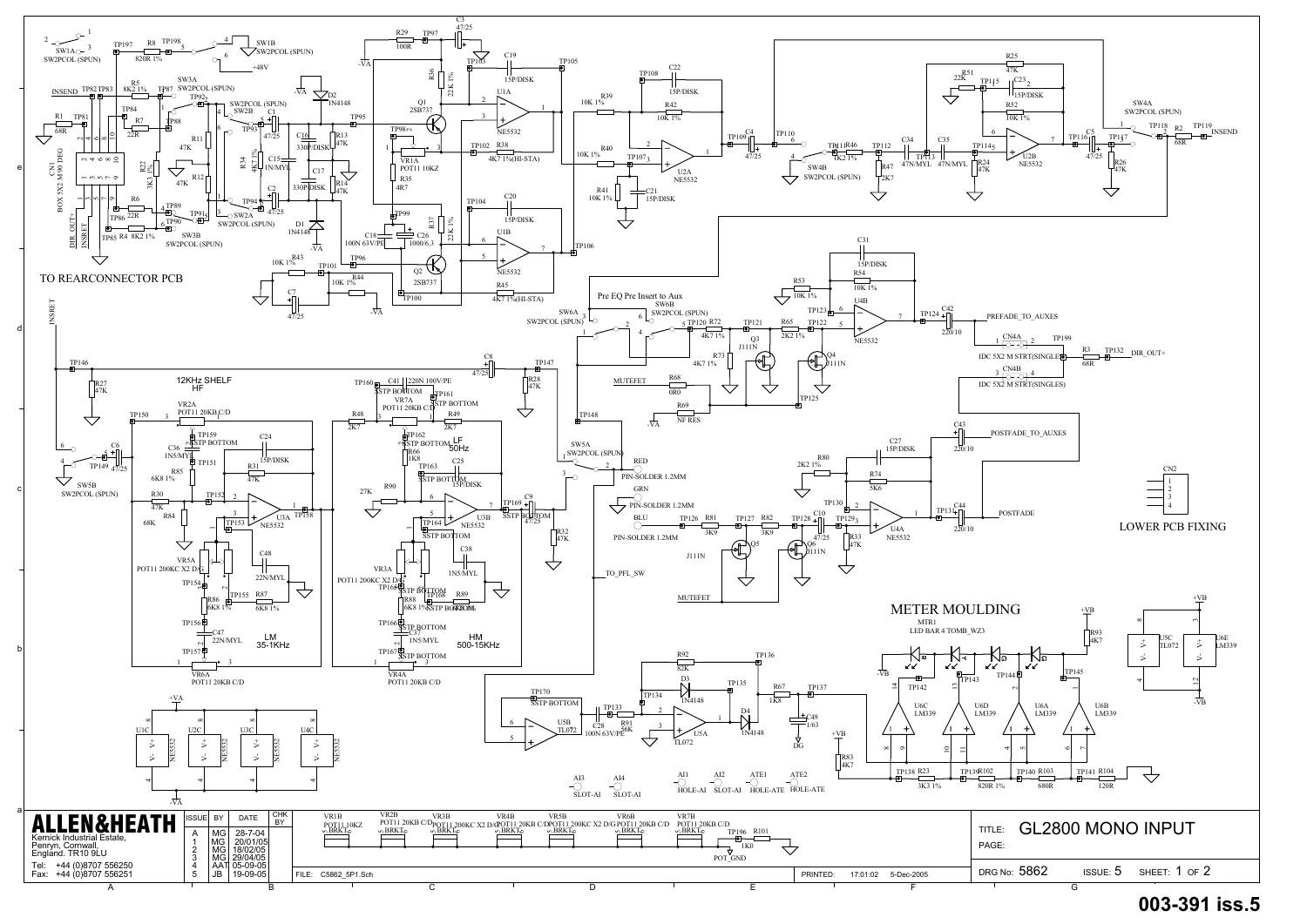

## **003-391 iss.5**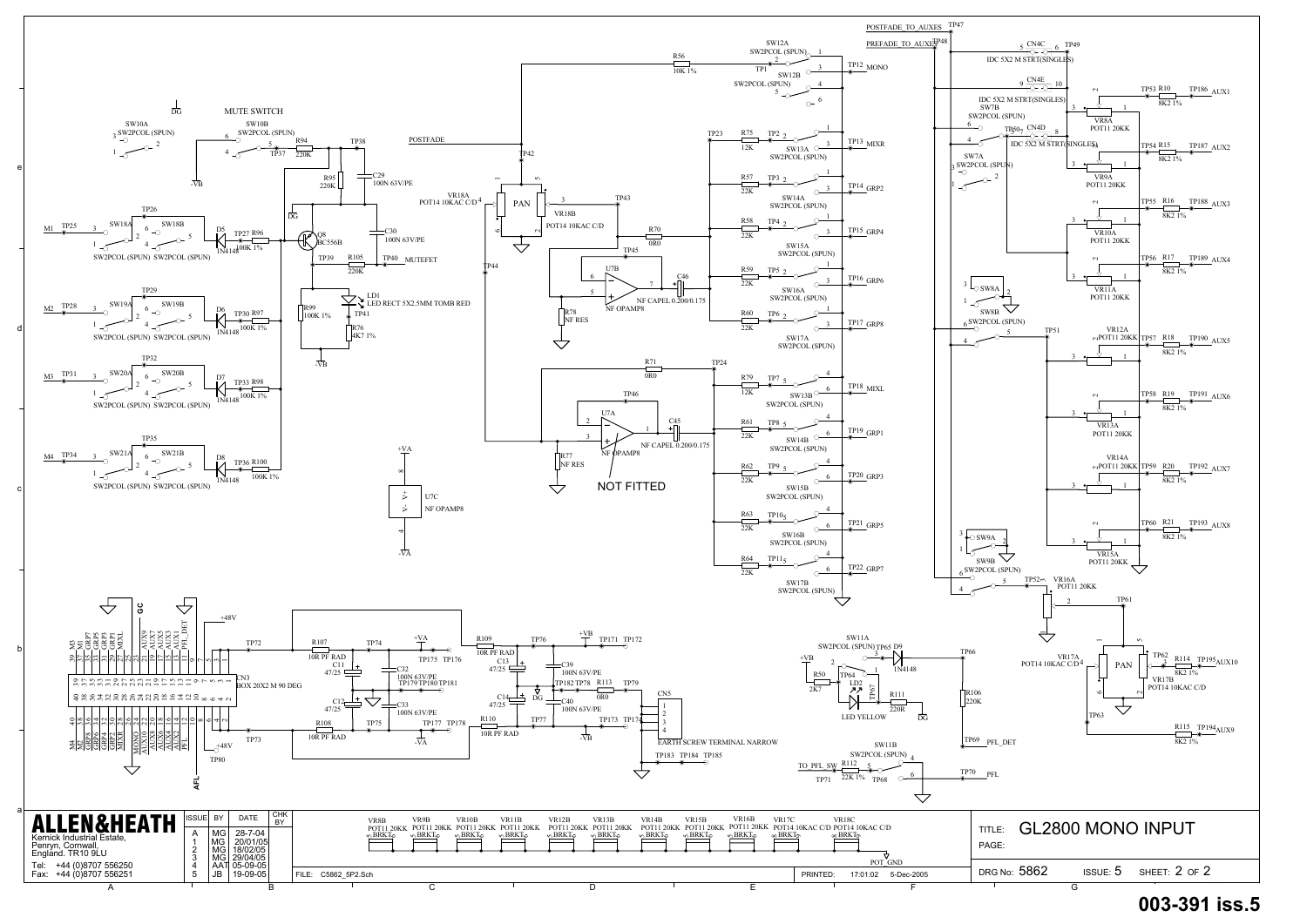

## **003-391 iss.5**